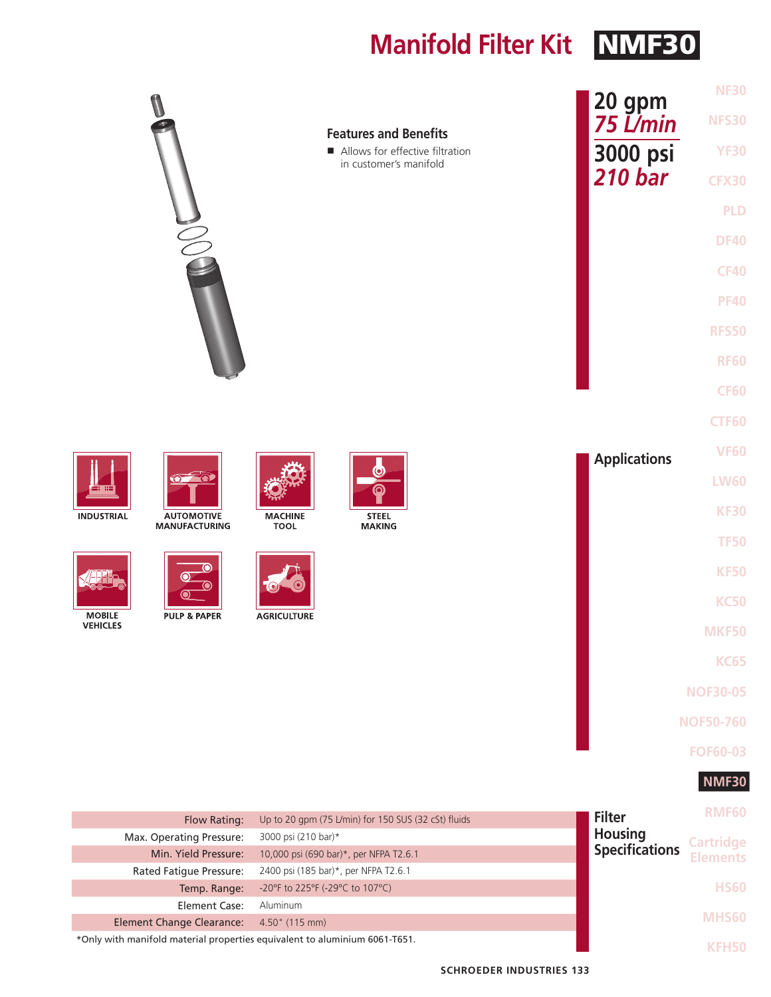**Manifold Filter Kit NMF30** 

|                                                                                                                                                                                                                                                       | <b>Features and Benefits</b><br>Allows for effective filtration<br>in customer's manifold                                                                                                                                     | <b>NF30</b><br>20 gpm<br>75 L/min<br><b>NFS30</b><br>3000 psi<br><b>YF30</b><br>210 <sub>bar</sub><br><b>CFX30</b><br><b>PLD</b><br><b>DF40</b><br><b>CF40</b><br><b>PF40</b><br><b>RFS50</b><br><b>RF60</b><br><b>CF60</b><br><b>CTF60</b> |
|-------------------------------------------------------------------------------------------------------------------------------------------------------------------------------------------------------------------------------------------------------|-------------------------------------------------------------------------------------------------------------------------------------------------------------------------------------------------------------------------------|---------------------------------------------------------------------------------------------------------------------------------------------------------------------------------------------------------------------------------------------|
| -69<br><b>INDUSTRIAL</b><br><b>AUTOMOTIVE</b><br><b>MANUFACTURING</b><br>Ю<br>О<br><b>MOBILE</b><br><b>PULP &amp; PAPER</b><br><b>VEHICLES</b>                                                                                                        | <b>MACHINE</b><br><b>STEEL</b><br><b>TOOL</b><br><b>MAKING</b><br><b>AGRICULTURE</b>                                                                                                                                          | <b>VF60</b><br><b>Applications</b><br><b>LW60</b><br><b>KF30</b><br><b>TF50</b><br><b>KF50</b><br><b>KC50</b><br><b>MKF50</b><br><b>KC65</b><br><b>NOF30-05</b><br><b>NOF50-760</b><br><b>FOF60-03</b><br><b>NMF30</b>                      |
| Flow Rating:<br>Max. Operating Pressure:<br>Min. Yield Pressure:<br>Rated Fatigue Pressure:<br>Temp. Range:<br><b>Element Case:</b><br><b>Element Change Clearance:</b><br>*Only with manifold material properties equivalent to aluminium 6061-T651. | Up to 20 gpm (75 L/min) for 150 SUS (32 cSt) fluids<br>3000 psi (210 bar)*<br>10,000 psi (690 bar)*, per NFPA T2.6.1<br>2400 psi (185 bar)*, per NFPA T2.6.1<br>-20°F to 225°F (-29°C to 107°C)<br>Aluminum<br>4.50" (115 mm) | <b>RMF60</b><br><b>Filter</b><br><b>Housing</b><br><b>Cartridge</b><br><b>Specifications</b><br><b>Elements</b><br><b>HS60</b><br><b>MHS60</b><br><b>KFH50</b>                                                                              |